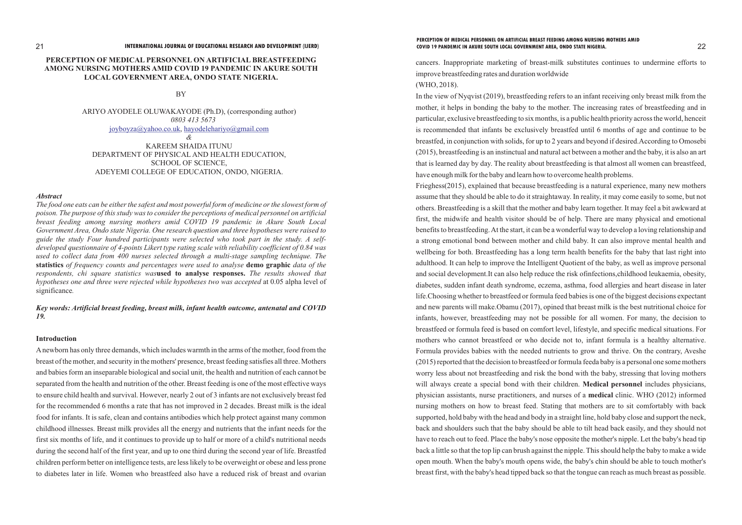# **PERCEPTION OF MEDICAL PERSONNEL ON ARTIFICIAL BREASTFEEDING AMONG NURSING MOTHERS AMID COVID 19 PANDEMIC IN AKURE SOUTH LOCAL GOVERNMENT AREA, ONDO STATE NIGERIA.**

BY

ARIYO AYODELE OLUWAKAYODE (Ph.D), (corresponding author) *0803 413 5673* , [joyboyza@yahoo.co.uk](mailto:joyboyza@yahoo.co.uk) [hayodelehariyo@gmail.com](mailto:hayodelehariyo@gmail.com) *&* KAREEM SHAIDA ITUNU DEPARTMENT OF PHYSICAL AND HEALTH EDUCATION, SCHOOL OF SCIENCE, ADEYEMI COLLEGE OF EDUCATION, ONDO, NIGERIA.

# *Abstract*

*The food one eats can be either the safest and most powerful form of medicine or the slowest form of poison. The purpose of this study was to consider the perceptions of medical personnel on artificial breast feeding among nursing mothers amid COVID 19 pandemic in Akure South Local Government Area, Ondo state Nigeria. One research question and three hypotheses were raised to guide the study Four hundred participants were selected who took part in the study. A selfdeveloped questionnaire of 4-points Likert type rating scale with reliability coefficient of 0.84 was used to collect data from 400 nurses selected through a multi-stage sampling technique. The*  **statistics** *of frequency counts and percentages were used to analyse* **demo graphic** *data of the respondents, chi square statistics was***used to analyse responses.** *The results showed that hypotheses one and three were rejected while hypotheses two was accepted* at 0.05 alpha level of significance*.*

*Key words: Artificial breast feeding, breast milk, infant health outcome, antenatal and COVID 19.*

# **Introduction**

Anewborn has only three demands, which includes warmth in the arms of the mother, food from the breast of the mother, and security in the mothers' presence, breast feeding satisfies all three. Mothers and babies form an inseparable biological and social unit, the health and nutrition of each cannot be separated from the health and nutrition of the other. Breast feeding is one of the most effective ways to ensure child health and survival. However, nearly 2 out of 3 infants are not exclusively breast fed for the recommended 6 months a rate that has not improved in 2 decades. Breast milk is the ideal food for infants. It is safe, clean and contains antibodies which help protect against many common childhood illnesses. Breast milk provides all the energy and nutrients that the infant needs for the first six months of life, and it continues to provide up to half or more of a child's nutritional needs during the second half of the first year, and up to one third during the second year of life. Breastfed children perform better on intelligence tests, are less likely to be overweight or obese and less prone to diabetes later in life. Women who breastfeed also have a reduced risk of breast and ovarian cancers. Inappropriate marketing of breast-milk substitutes continues to undermine efforts to improve breastfeeding rates and duration worldwide (WHO, 2018).

In the view of Nyqvist (2019), breastfeeding refers to an infant receiving only breast milk from the mother, it helps in bonding the baby to the mother. The increasing rates of breastfeeding and in particular, exclusive breastfeeding to six months, is a public health priority across the world, henceit is recommended that infants be exclusively breastfed until 6 months of age and continue to be breastfed, in conjunction with solids, for up to 2 years and beyond if desired.According to Omosebi (2015), breastfeeding is an instinctual and natural act between a mother and the baby, it is also an art that is learned day by day. The reality about breastfeeding is that almost all women can breastfeed, have enough milk for the baby and learn how to overcome health problems. Frieghess(2015), explained that because breastfeeding is a natural experience, many new mothers assume that they should be able to do it straightaway. In reality, it may come easily to some, but not others. Breastfeeding is a skill that the mother and baby learn together. It may feel a bit awkward at first, the midwife and health visitor should be of help. There are many physical and emotional benefits to breastfeeding. At the start, it can be a wonderful way to develop a loving relationship and a strong emotional bond between mother and child baby. It can also improve mental health and wellbeing for both. Breastfeeding has a long term health benefits for the baby that last right into adulthood. It can help to improve the Intelligent Quotient of the baby, as well as improve personal and social development.It can also help reduce the risk ofinfections,childhood leukaemia, obesity, diabetes, sudden infant death syndrome, eczema, asthma, food allergies and heart disease in later life.Choosing whether to breastfeed or formula feed babies is one of the biggest decisions expectant and new parents will make.Obamu (2017), opined that breast milk is the best nutritional choice for infants, however, breastfeeding may not be possible for all women. For many, the decision to breastfeed or formula feed is based on comfort level, lifestyle, and specific medical situations. For mothers who cannot breastfeed or who decide not to, infant formula is a healthy alternative. Formula provides babies with the needed nutrients to grow and thrive. On the contrary, Aveshe (2015) reported that the decision to breastfeed or formula feeda baby is a personal one some mothers worry less about not breastfeeding and risk the bond with the baby, stressing that loving mothers will always create a special bond with their children. **Medical personnel** includes physicians, physician assistants, nurse practitioners, and nurses of a **medical** clinic. WHO (2012) informed nursing mothers on how to breast feed. Stating that mothers are to sit comfortably with back supported, hold baby with the head and body in a straight line, hold baby close and support the neck, back and shoulders such that the baby should be able to tilt head back easily, and they should not have to reach out to feed. Place the baby's nose opposite the mother's nipple. Let the baby's head tip back a little so that the top lip can brush against the nipple. This should help the baby to make a wide open mouth. When the baby's mouth opens wide, the baby's chin should be able to touch mother's breast first, with the baby's head tipped back so that the tongue can reach as much breast as possible.

# **PERCEPTION OF MEDICAL PERSONNEL ON ARTIFICIAL BREAST FEEDING AMONG NURSING MOTHERS AMID**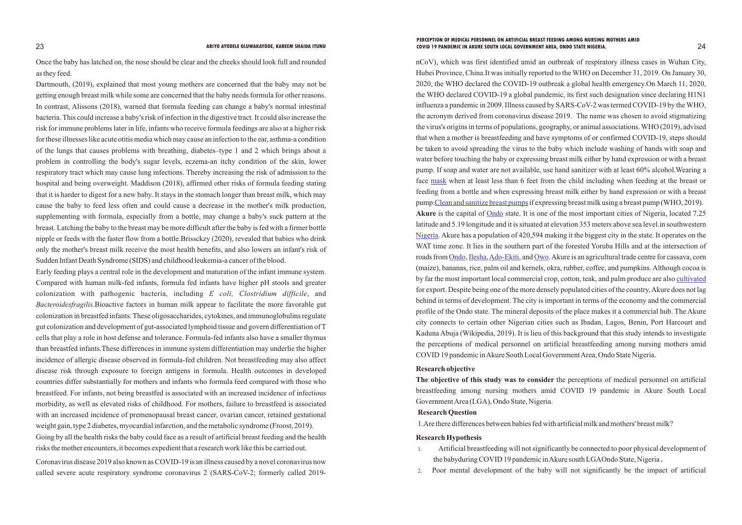Once the baby has latched on, the nose should be clear and the cheeks should look full and rounded as they feed.

Dartmouth, (2019), explained that most young mothers are concerned that the baby may not be getting enough breast milk while some are concerned that the baby needs formula for other reasons. In contrast, Alissons (2018), warned that formula feeding can change a baby's normal intestinal bacteria. This could increase a baby's risk of infection in the digestive tract. It could also increase the risk for immune problems later in life, infants who receive formula feedings are also at a higher risk for these illnesses like acute otitis media which may cause an infection to the ear, asthma-a condition of the lungs that causes problems with breathing, diabetes–type 1 and 2 which brings about a problem in controlling the body's sugar levels, eczema-an itchy condition of the skin, lower respiratory tract which may cause lung infections. Thereby increasing the risk of admission to the hospital and being overweight. Maddison (2018), affirmed other risks of formula feeding stating that it is harder to digest for a new baby. It stays in the stomach longer than breast milk, which may cause the baby to feed less often and could cause a decrease in the mother's milk production, supplementing with formula, especially from a bottle, may change a baby's suck pattern at the breast. Latching the baby to the breast may be more difficult after the baby is fed with a firmer bottle nipple or feeds with the faster flow from a bottle.Brissckzy (2020), revealed that babies who drink only the mother's breast milk receive the most health benefits, and also lowers an infant's risk of Sudden Infant Death Syndrome (SIDS) and childhood leukemia-a cancer of the blood.

Early feeding plays a central role in the development and maturation of the infant immune system. Compared with human milk-fed infants, formula fed infants have higher pH stools and greater colonization with pathogenic bacteria, including *E coli, Clostridium difficile*, and *Bacteroidesfragilis*.Bioactive factors in human milk appear to facilitate the more favorable gut colonization in breastfed infants. These oligosaccharides, cytokines, and immunoglobulins regulate gut colonization and development of gut-associated lymphoid tissue and govern differentiation of T cells that play a role in host defense and tolerance. Formula-fed infants also have a smaller thymus than breastfed infants.These differences in immune system differentiation may underlie the higher incidence of allergic disease observed in formula-fed children. Not breastfeeding may also affect disease risk through exposure to foreign antigens in formula. Health outcomes in developed countries differ substantially for mothers and infants who formula feed compared with those who breastfeed. For infants, not being breastfed is associated with an increased incidence of infectious morbidity, as well as elevated risks of childhood. For mothers, failure to breastfeed is associated with an increased incidence of premenopausal breast cancer, ovarian cancer, retained gestational weight gain, type 2 diabetes, myocardial infarction, and the metabolic syndrome (Froost, 2019). Going by all the health risks the baby could face as a result of artificial breast feeding and the health risks the mother encounters, it becomes expedient that a research work like this be carried out.

Coronavirus disease 2019 also known as COVID-19 is an illness caused by a novel coronavirus now called severe acute respiratory syndrome coronavirus 2 (SARS-CoV-2; formerly called 2019nCoV), which was first identified amid an outbreak of respiratory illness cases in Wuhan City, Hubei Province, China.It was initially reported to the WHO on December 31, 2019. On January 30, 2020, the WHO declared the COVID-19 outbreak a global health emergency.On March 11, 2020, the WHO declared COVID-19 a global pandemic, its first such designation since declaring H1N1 influenza a pandemic in 2009. Illness caused by SARS-CoV-2 was termed COVID-19 by the WHO, the acronym derived from coronavirus disease 2019. The name was chosen to avoid stigmatizing the virus's origins in terms of populations, geography, or animal associations. WHO (2019), advised that when a mother is breastfeeding and have symptoms of or confirmed COVID-19, steps should be taken to avoid spreading the virus to the baby which include washing of hands with soap and water before touching the baby or expressing breast milk either by hand expression or with a breast pump. If soap and water are not available, use hand sanitizer with at least 60% alcohol.Wearing a face mask when at least less than 6 feet from the child including when feeding at the breast or feeding from a bottle and when expressing breast milk either by hand expression or with a breast pump. [Clean and sanitize breast pumps](https://www.cdc.gov/healthywater/hygiene/healthychildcare/infantfeeding/breastpump.html) if expressing breast milk using a breast pump (WHO, 2019). Akure is t[he capital of](https://www.britannica.com/place/Ondo-Nigeria) **Ondo** state. It is one of the most important cities of Nigeria, located 7.25 latitude and 5.19 longitude and it is situated at elevation 353 meters above sea level.in southwestern [Nigeria](https://www.britannica.com/place/Nigeria). Akure has a population of 420,594 making it the biggest city in the state. It operates on the WAT time zone. It lies in the southern part of the forested Yoruba Hills and at the intersection of roadsfrom Ondo, Ilesha, Ado-Ekiti, and Owo. Akure is an agricultural trade centre for cassava, corn (maize), bananas, rice, palm oil and kernels, okra, rubber, coffee, and pumpkins. Although cocoa is by far the most important local commercial crop, cotton, teak, and palm produce are also [cultivated](https://www.merriam-webster.com/dictionary/cultivated) for export. Despite being one of the more densely populated cities of the country, Akure does not lag behind in terms of development. The city is important in terms of the economy and the commercial profile of the Ondo state. The mineral deposits of the place makes it a commercial hub. The Akure city connects to certain other Nigerian cities such as Ibadan, Lagos, Benin, Port Harcourt and Kaduna Abuja (Wikipedia, 2019). It is lieu of this background that this study intends to investigate the perceptions of medical personnel on artificial breastfeeding among nursing mothers amid COVID 19 pandemic in Akure South Local Government Area, Ondo State Nigeria.

# **Research objective**

**The objective of this study was to consider** the perceptions of medical personnel on artificial breastfeeding among nursing mothers amid COVID 19 pandemic in Akure South Local Government Area (LGA), Ondo State, Nigeria.

# **Research Question**

1.Are there differences between babies fed with artificial milk and mothers' breast milk?

# **Research Hypothesis**

- 1. Artificial breastfeeding will not significantly be connected to poor physical development of the babyduring COVID 19 pandemic in Akure south LGAOndo State, Nigeria.
- 2. Poor mental development of the baby will not significantly be the impact of artificial

### 23 24 **ARIYO AYODELE OLUWAKAYODE, KAREEM SHAIDA ITUNU COVID 19 PANDEMIC IN AKURE SOUTH LOCAL GOVERNMENT AREA, ONDO STATE NIGERIA.PERCEPTION OF MEDICAL PERSONNEL ON ARTIFICIAL BREAST FEEDING AMONG NURSING MOTHERS AMID**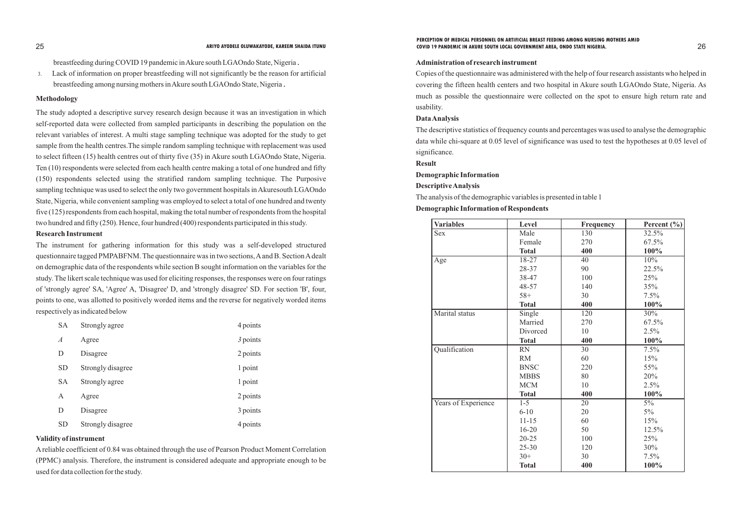breastfeeding during COVID 19 pandemic in Akure south LGAOndo State, Nigeria.

3. Lack of information on proper breastfeeding will not significantly be the reason for artificial breastfeeding among nursing mothers in Akure south LGAOndo State, Nigeria.

# **Methodology**

The study adopted a descriptive survey research design because it was an investigation in which self-reported data were collected from sampled participants in describing the population on the relevant variables of interest. A multi stage sampling technique was adopted for the study to get sample from the health centres.The simple random sampling technique with replacement was used to select fifteen (15) health centres out of thirty five (35) in Akure south LGAOndo State, Nigeria. Ten (10) respondents were selected from each health centre making a total of one hundred and fifty (150) respondents selected using the stratified random sampling technique. The Purposive sampling technique was used to select the only two government hospitals in Akuresouth LGAOndo State, Nigeria, while convenient sampling was employed to select a total of one hundred and twenty five (125) respondents from each hospital, making the total number of respondents from the hospital two hundred and fifty (250). Hence, four hundred (400) respondents participated in this study.

# **Research Instrument**

The instrument for gathering information for this study was a self-developed structured questionnaire tagged PMPABFNM. The questionnaire was in two sections, Aand B. Section Adealt on demographic data of the respondents while section B sought information on the variables for the study. The likert scale technique was used for eliciting responses, the responses were on four ratings of 'strongly agree' SA, 'Agree' A, 'Disagree' D, and 'strongly disagree' SD. For section 'B', four, points to one, was allotted to positively worded items and the reverse for negatively worded items respectively as indicated below

| <b>SA</b>        | Strongly agree    | 4 points   |
|------------------|-------------------|------------|
| $\boldsymbol{A}$ | Agree             | $3$ points |
| D                | Disagree          | 2 points   |
| <b>SD</b>        | Strongly disagree | 1 point    |
| <b>SA</b>        | Strongly agree    | 1 point    |
| A                | Agree             | 2 points   |
| D                | Disagree          | 3 points   |
| <b>SD</b>        | Strongly disagree | 4 points   |

# **Validity of instrument**

Areliable coefficient of 0.84 was obtained through the use of Pearson Product Moment Correlation (PPMC) analysis. Therefore, the instrument is considered adequate and appropriate enough to be used for data collection for the study.

### **Administration of research instrument**

Copies of the questionnaire was administered with the help of four research assistants who helped in covering the fifteen health centers and two hospital in Akure south LGAOndo State, Nigeria. As much as possible the questionnaire were collected on the spot to ensure high return rate and usability.

### **Data Analysis**

The descriptive statistics of frequency counts and percentages was used to analyse the demographic data while chi-square at 0.05 level of significance was used to test the hypotheses at 0.05 level of significance.

# **Result**

# **Demographic Information**

# **Descriptive Analysis**

The analysis of the demographic variables is presented in table 1 **Demographic Information of Respondents** 

### 25 26 **ARIYO AYODELE OLUWAKAYODE, KAREEM SHAIDA ITUNU COVID 19 PANDEMIC IN AKURE SOUTH LOCAL GOVERNMENT AREA, ONDO STATE NIGERIA. PERCEPTION OF MEDICAL PERSONNEL ON ARTIFICIAL BREAST FEEDING AMONG NURSING MOTHERS AMID**

| <b>Variables</b>    | Level        | <b>Frequency</b> | Percent $(\% )$ |
|---------------------|--------------|------------------|-----------------|
| <b>Sex</b>          | Male         | 130              | 32.5%           |
|                     | Female       | 270              | 67.5%           |
|                     | <b>Total</b> | 400              | 100%            |
| Age                 | $18 - 27$    | 40               | 10%             |
|                     | 28-37        | 90               | 22.5%           |
|                     | 38-47        | 100              | 25%             |
|                     | 48-57        | 140              | 35%             |
|                     | $58+$        | 30               | 7.5%            |
|                     | <b>Total</b> | 400              | 100%            |
| Marital status      | Single       | 120              | 30%             |
|                     | Married      | 270              | 67.5%           |
|                     | Divorced     | 10               | 2.5%            |
|                     | <b>Total</b> | 400              | 100%            |
| Qualification       | <b>RN</b>    | 30               | 7.5%            |
|                     | <b>RM</b>    | 60               | 15%             |
|                     | <b>BNSC</b>  | 220              | 55%             |
|                     | <b>MBBS</b>  | 80               | 20%             |
|                     | <b>MCM</b>   | 10               | 2.5%            |
|                     | <b>Total</b> | 400              | 100%            |
| Years of Experience | $1 - 5$      | 20               | $5\%$           |
|                     | $6 - 10$     | 20               | $5\%$           |
|                     | $11 - 15$    | 60               | 15%             |
|                     | $16 - 20$    | 50               | 12.5%           |
|                     | $20 - 25$    | 100              | 25%             |
|                     | $25 - 30$    | 120              | 30%             |
|                     | $30+$        | 30               | 7.5%            |
|                     | <b>Total</b> | 400              | 100%            |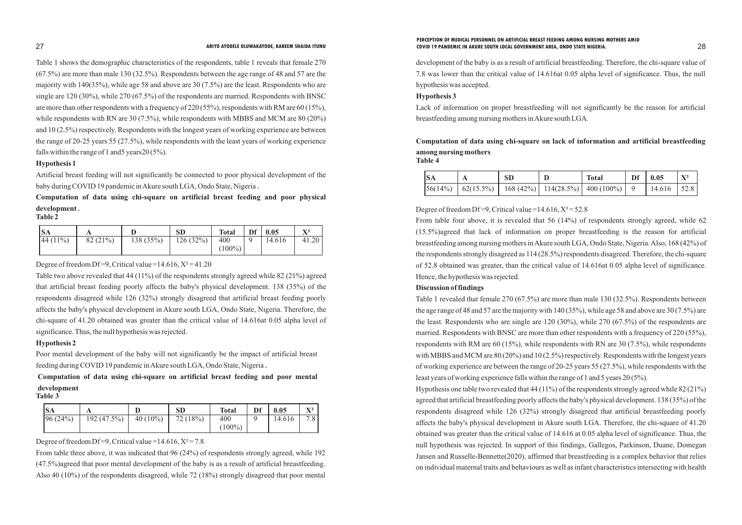Table 1 shows the demographic characteristics of the respondents, table 1 reveals that female 270 (67.5%) are more than male 130 (32.5%). Respondents between the age range of 48 and 57 are the majority with 140(35%), while age 58 and above are 30 (7.5%) are the least. Respondents who are single are 120 (30%), while 270 (67.5%) of the respondents are married. Respondents with BNSC are more than other respondents with a frequency of 220 (55%), respondents with RM are 60 (15%), while respondents with RN are 30 (7.5%), while respondents with MBBS and MCM are 80 (20%) and 10 (2.5%) respectively. Respondents with the longest years of working experience are between the range of 20-25 years 55 (27.5%), while respondents with the least years of working experience falls within the range of 1 and5 years20 (5%).

# **Hypothesis 1**

Artificial breast feeding will not significantly be connected to poor physical development of the baby during COVID 19 pandemic in Akure south LGA, Ondo State, Nigeria.

# **Computation of data using chi-square on artificial breast feeding and poor physical development. Table 2**

| <b>SA</b>   |         |           | <b>SD</b> | <b>Total</b> | Df | 0.05   | ${\bf X}^2$ |
|-------------|---------|-----------|-----------|--------------|----|--------|-------------|
| $ 44(11\%)$ | 82(21%) | 138 (35%) | 126(32%)  | 400          |    | 14.616 | 41.20       |
|             |         |           |           | $(100\%)$    |    |        |             |

Degree of freedom Df=9, Critical value =  $14.616$ ,  $X^2 = 41.20$ 

Table two above revealed that 44 (11%) of the respondents strongly agreed while 82 (21%) agreed that artificial breast feeding poorly affects the baby's physical development. 138 (35%) of the respondents disagreed while 126 (32%) strongly disagreed that artificial breast feeding poorly affects the baby's physical development in Akure south LGA, Ondo State, Nigeria. Therefore, the chi-square of 41.20 obtained was greater than the critical value of 14.616at 0.05 alpha level of significance. Thus, the null hypothesis was rejected.

## **Hypothesis 2**

Degree of freedom Df=9, Critical value =14.616,  $X^2$ =52.8 From table four above, it is revealed that 56 (14%) of respondents strongly agreed, while 62 (15.5%)agreed that lack of information on proper breastfeeding is the reason for artificial breastfeeding among nursing mothers in Akure south LGA, Ondo State, Nigeria. Also, 168 (42%) of the respondents strongly disagreed as 114 (28.5%) respondents disagreed. Therefore, the chi-square of 52.8 obtained was greater, than the critical value of 14.616at 0.05 alpha level of significance. Hence, the hypothesis was rejected.

Poor mental development of the baby will not significantly be the impact of artificial breast feeding during COVID 19 pandemic in Akure south LGA, Ondo State, Nigeria.

# **Computation of data using chi-square on artificial breast feeding and poor mental development**

| m<br>П<br>и<br>18 |  |
|-------------------|--|
|-------------------|--|

| <b>SA</b> |             |             | $\mathbf{SD}$ | <b>Total</b> | Df | 0.05   | $\mathbf{V}$ <sup>2</sup> |
|-----------|-------------|-------------|---------------|--------------|----|--------|---------------------------|
| 96(24%)   | 192 (47.5%) | 40 $(10\%)$ | 72(18%)       | 400          |    | 14.616 | 7.8                       |
|           |             |             |               | $(100\%)$    |    |        |                           |

Degree of freedom Df=9, Critical value =  $14.616$ ,  $X^2 = 7.8$ 

From table three above, it was indicated that 96 (24%) of respondents strongly agreed, while 192 (47.5%)agreed that poor mental development of the baby is as a result of artificial breastfeeding. Also 40 (10%) of the respondents disagreed, while 72 (18%) strongly disagreed that poor mental

development of the baby is as a result of artificial breastfeeding. Therefore, the chi-square value of 7.8 was lower than the critical value of 14.616at 0.05 alpha level of significance. Thus, the null hypothesis was accepted.

# **Hypothesis 3**

Lack of information on proper breastfeeding will not significantly be the reason for artificial breastfeeding among nursing mothers in Akure south LGA.

# **Computation of data using chi-square on lack of information and artificial breastfeeding**

**among nursing mothers Table 4**

| <b>SA</b> | SD | <b>Total</b>                                                                 | Df $\vert$ 0.05 |  |
|-----------|----|------------------------------------------------------------------------------|-----------------|--|
|           |    | $\left 56(14\%) \right $ 62(15.5%)   168 (42%)   114(28.5%)   400 (100%)   9 | $14.616$   52.8 |  |

# **Discussion of findings**

Table 1 revealed that female 270 (67.5%) are more than male 130 (32.5%). Respondents between the age range of 48 and 57 are the majority with 140 (35%), while age 58 and above are 30 (7.5%) are the least. Respondents who are single are 120 (30%), while 270 (67.5%) of the respondents are married. Respondents with BNSC are more than other respondents with a frequency of 220 (55%), respondents with RM are 60 (15%), while respondents with RN are 30 (7.5%), while respondents with MBBS and MCM are 80 (20%) and 10 (2.5%) respectively. Respondents with the longest years of working experience are between the range of 20-25 years 55 (27.5%), while respondents with the least years of working experience falls within the range of 1 and 5 years 20 (5%). Hypothesis one table two revealed that 44 (11%) of the respondents strongly agreed while 82 (21%) agreed that artificial breastfeeding poorly affects the baby's physical development. 138 (35%) of the respondents disagreed while 126 (32%) strongly disagreed that artificial breastfeeding poorly affects the baby's physical development in Akure south LGA. Therefore, the chi-square of 41.20 obtained was greater than the critical value of 14.616 at 0.05 alpha level of significance. Thus, the null hypothesis was rejected. In support of this findings, Gallegos, Parkinson, Duane, Domegan Jansen and Russelle-Bennette(2020), affirmed that breastfeeding is a complex behavior that relies on individual maternal traits and behaviours as well as infant characteristics intersecting with health

### 27 28 **ARIYO AYODELE OLUWAKAYODE, KAREEM SHAIDA ITUNU COVID 19 PANDEMIC IN AKURE SOUTH LOCAL GOVERNMENT AREA, ONDO STATE NIGERIA.PERCEPTION OF MEDICAL PERSONNEL ON ARTIFICIAL BREAST FEEDING AMONG NURSING MOTHERS AMID**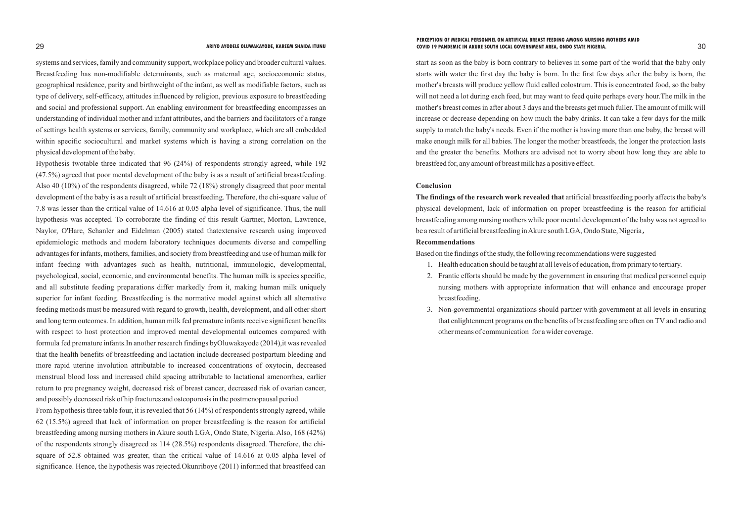systems and services, family and community support, workplace policy and broader cultural values. Breastfeeding has non-modifiable determinants, such as maternal age, socioeconomic status, geographical residence, parity and birthweight of the infant, as well as modifiable factors, such as type of delivery, self-efficacy, attitudes influenced by religion, previous exposure to breastfeeding and social and professional support. An enabling environment for breastfeeding encompasses an understanding of individual mother and infant attributes, and the barriers and facilitators of a range of settings health systems or services, family, community and workplace, which are all embedded within specific sociocultural and market systems which is having a strong correlation on the physical development of the baby.

Hypothesis twotable three indicated that 96 (24%) of respondents strongly agreed, while 192 (47.5%) agreed that poor mental development of the baby is as a result of artificial breastfeeding. Also 40 (10%) of the respondents disagreed, while 72 (18%) strongly disagreed that poor mental development of the baby is as a result of artificial breastfeeding. Therefore, the chi-square value of 7.8 was lesser than the critical value of 14.616 at 0.05 alpha level of significance. Thus, the null hypothesis was accepted. To corroborate the finding of this result Gartner, Morton, Lawrence, Naylor, O'Hare, Schanler and Eidelman (2005) stated thatextensive research using improved epidemiologic methods and modern laboratory techniques documents diverse and compelling advantages for infants, mothers, families, and society from breastfeeding and use of human milk for infant feeding with advantages such as health, nutritional, immunologic, developmental, psychological, social, economic, and environmental benefits. The human milk is species specific, and all substitute feeding preparations differ markedly from it, making human milk uniquely superior for infant feeding. Breastfeeding is the normative model against which all alternative feeding methods must be measured with regard to growth, health, development, and all other short and long term outcomes. In addition, human milk fed premature infants receive significant benefits with respect to host protection and improved mental developmental outcomes compared with formula fed premature infants.In another research findings byOluwakayode (2014),it was revealed that the health benefits of breastfeeding and lactation include decreased postpartum bleeding and more rapid uterine involution attributable to increased concentrations of oxytocin, decreased menstrual blood loss and increased child spacing attributable to lactational amenorrhea, earlier return to pre pregnancy weight, decreased risk of breast cancer, decreased risk of ovarian cancer, and possibly decreased risk of hip fractures and osteoporosis in the postmenopausal period.

From hypothesis three table four, it is revealed that 56 (14%) of respondents strongly agreed, while 62 (15.5%) agreed that lack of information on proper breastfeeding is the reason for artificial breastfeeding among nursing mothers in Akure south LGA, Ondo State, Nigeria. Also, 168 (42%) of the respondents strongly disagreed as 114 (28.5%) respondents disagreed. Therefore, the chisquare of 52.8 obtained was greater, than the critical value of 14.616 at 0.05 alpha level of significance. Hence, the hypothesis was rejected.Okunriboye (2011) informed that breastfeed can

start as soon as the baby is born contrary to believes in some part of the world that the baby only starts with water the first day the baby is born. In the first few days after the baby is born, the mother's breasts will produce yellow fluid called colostrum. This is concentrated food, so the baby will not need a lot during each feed, but may want to feed quite perhaps every hour.The milk in the mother's breast comes in after about 3 days and the breasts get much fuller. The amount of milk will increase or decrease depending on how much the baby drinks. It can take a few days for the milk supply to match the baby's needs. Even if the mother is having more than one baby, the breast will make enough milk for all babies. The longer the mother breastfeeds, the longer the protection lasts and the greater the benefits. Mothers are advised not to worry about how long they are able to breastfeed for, any amount of breast milk has a positive effect.

# **Conclusion**

**The findings of the research work revealed that** artificial breastfeeding poorly affects the baby's physical development, lack of information on proper breastfeeding is the reason for artificial breastfeeding among nursing mothers while poor mental development of the baby was not agreed to be a result of artificial breastfeeding in Akure south LGA, Ondo State, Nigeria, **Recommendations**

Based on the findings of the study, the following recommendations were suggested

- 1. Health education should be taught at all levels of education, from primary to tertiary.
- 2. Frantic efforts should be made by the government in ensuring that medical personnel equip nursing mothers with appropriate information that will enhance and encourage proper breastfeeding.
- other means of communication for a wider coverage.

3. Non-governmental organizations should partner with government at all levels in ensuring that enlightenment programs on the benefits of breastfeeding are often on TV and radio and

# 29 30 **ARIYO AYODELE OLUWAKAYODE, KAREEM SHAIDA ITUNU COVID 19 PANDEMIC IN AKURE SOUTH LOCAL GOVERNMENT AREA, ONDO STATE NIGERIA.PERCEPTION OF MEDICAL PERSONNEL ON ARTIFICIAL BREAST FEEDING AMONG NURSING MOTHERS AMID**